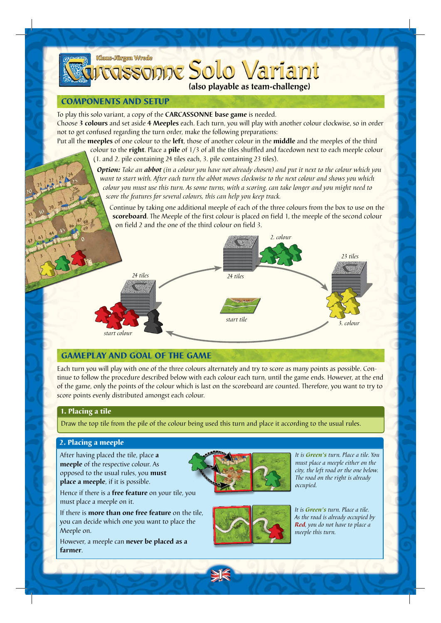

### COMPONENTS AND SETUP

To play this solo variant, a copy of the **CARCASSONNE base game** is needed.

Choose **3 colours** and set aside **4 Meeples** each. Each turn, you will play with another colour clockwise, so in order not to get confused regarding the turn order, make the following preparations:

Put all the **meeples** of one colour to the **left**, those of another colour in the **middle** and the meeples of the third colour to the **right**. Place a **pile** of 1/3 of all the tiles shuffled and facedown next to each meeple colour

(1. and 2. pile containing 24 tiles each, 3. pile containing 23 tiles).

*Option: Take an abbot (in a colour you have not already chosen) and put it next to the colour which you want to start with. After each turn the abbot moves clockwise to the next colour and shows you which colour you must use this turn. As some turns, with a scoring, can take longer and you might need to score the features for several colours, this can help you keep track.*

Continue by taking one additional meeple of each of the three colours from the box to use on the **scoreboard**. The Meeple of the first colour is placed on field 1, the meeple of the second colour on field 2 and the one of the third colour on field 3.



# GAMEPLAY AND GOAL OF THE GAME

Each turn you will play with one of the three colours alternately and try to score as many points as possible. Continue to follow the procedure described below with each colour each turn, until the game ends. However, at the end of the game, only the points of the colour which is last on the scoreboard are counted. Therefore, you want to try to score points evenly distributed amongst each colour.

#### 1. Placing a tile

Draw the top tile from the pile of the colour being used this turn and place it according to the usual rules.

## 2. Placing a meeple

After having placed the tile, place **a meeple** of the respective colour. As opposed to the usual rules, you **must place a meeple**, if it is possible.

1

Hence if there is a **free feature** on your tile, you must place a meeple on it.

If there is **more than one free feature** on the tile, you can decide which one you want to place the Meeple on.

However, a meeple can **never be placed as a farmer**.



*It is Green's turn. Place a tile. You must place a meeple either on the city, the left road or the one below. The road on the right is already occupied.*



*It is Green's turn. Place a tile. As the road is already occupied by Red, you do not have to place a meeple this turn.*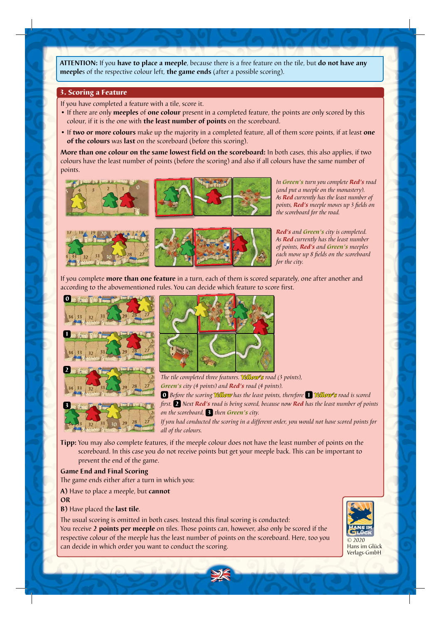**ATTENTION:** If you **have to place a meeple**, because there is a free feature on the tile, but **do not have any meeple**s of the respective colour left, **the game ends** (after a possible scoring).

#### 3. Scoring a Feature

If you have completed a feature with a tile, score it.

- If there are only **meeples** of **one colour** present in a completed feature, the points are only scored by this colour, if it is the one with **the least number of points** on the scoreboard.
- If **two or more colours** make up the majority in a completed feature, all of them score points, if at least **one of the colours** was **last** on the scoreboard (before this scoring).

**More than one colour on the same lowest field on the scoreboard:** In both cases, this also applies, if two colours have the least number of points (before the scoring) and also if all colours have the same number of points.



*In Green's turn you complete Red's road (and put a meeple on the monastery). As Red currently has the least number of points, Red's meeple moves up 3 fields on the scoreboard for the road.* 



If you complete **more than one feature** in a turn, each of them is scored separately, one after another and according to the abovementioned rules. You can decide which feature to score first.





*The tile completed three features. Yellow's road (3 points), Green's city (4 points) and Red's road (4 points).* 0 *Before the scoring Yellow has the least points, therefore* 1 *Yellow's road is scored* 

*first.* 2 *Next Red's road is being scored, because now Red has the least number of points on the scoreboard,* 3 *then Green's city.*

*If you had conducted the scoring in a different order, you would not have scored points for all of the colours.*

**Tipp:** You may also complete features, if the meeple colour does not have the least number of points on the scoreboard. In this case you do not receive points but get your meeple back. This can be important to prevent the end of the game.

2

#### **Game End and Final Scoring**

The game ends either after a turn in which you:

**A)** Have to place a meeple, but **cannot**

**OR** 

**B)** Have placed the **last tile**.

The usual scoring is omitted in both cases. Instead this final scoring is conducted: You receive **2 points per meeple** on tiles. Those points can, however, also only be scored if the respective colour of the meeple has the least number of points on the scoreboard. Here, too you can decide in which order you want to conduct the scoring.